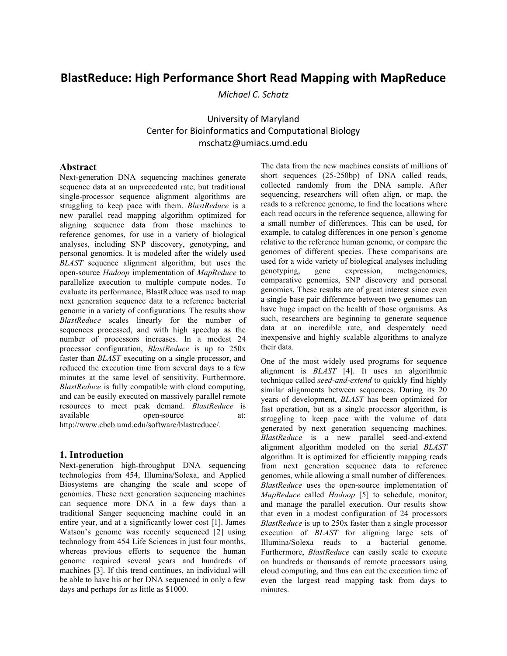# **BlastReduce:
High
Performance
Short
Read
Mapping
with
MapReduce**

*Michael
C.
Schatz* 

## University
of
Maryland Center
for
Bioinformatics
and
Computational
Biology mschatz@umiacs.umd.edu

### **Abstract**

Next-generation DNA sequencing machines generate sequence data at an unprecedented rate, but traditional single-processor sequence alignment algorithms are struggling to keep pace with them. *BlastReduce* is a new parallel read mapping algorithm optimized for aligning sequence data from those machines to reference genomes, for use in a variety of biological analyses, including SNP discovery, genotyping, and personal genomics. It is modeled after the widely used *BLAST* sequence alignment algorithm, but uses the open-source *Hadoop* implementation of *MapReduce* to parallelize execution to multiple compute nodes. To evaluate its performance, BlastReduce was used to map next generation sequence data to a reference bacterial genome in a variety of configurations. The results show *BlastReduce* scales linearly for the number of sequences processed, and with high speedup as the number of processors increases. In a modest 24 processor configuration, *BlastReduce* is up to 250x faster than *BLAST* executing on a single processor, and reduced the execution time from several days to a few minutes at the same level of sensitivity. Furthermore, *BlastReduce* is fully compatible with cloud computing, and can be easily executed on massively parallel remote resources to meet peak demand. *BlastReduce* is available open-source at: http://www.cbcb.umd.edu/software/blastreduce/.

### **1. Introduction**

Next-generation high-throughput DNA sequencing technologies from 454, Illumina/Solexa, and Applied Biosystems are changing the scale and scope of genomics. These next generation sequencing machines can sequence more DNA in a few days than a traditional Sanger sequencing machine could in an entire year, and at a significantly lower cost [1]. James Watson's genome was recently sequenced [2] using technology from 454 Life Sciences in just four months, whereas previous efforts to sequence the human genome required several years and hundreds of machines [3]. If this trend continues, an individual will be able to have his or her DNA sequenced in only a few days and perhaps for as little as \$1000.

The data from the new machines consists of millions of short sequences (25-250bp) of DNA called reads, collected randomly from the DNA sample. After sequencing, researchers will often align, or map, the reads to a reference genome, to find the locations where each read occurs in the reference sequence, allowing for a small number of differences. This can be used, for example, to catalog differences in one person's genome relative to the reference human genome, or compare the genomes of different species. These comparisons are used for a wide variety of biological analyses including genotyping, gene expression, metagenomics, comparative genomics, SNP discovery and personal genomics. These results are of great interest since even a single base pair difference between two genomes can have huge impact on the health of those organisms. As such, researchers are beginning to generate sequence data at an incredible rate, and desperately need inexpensive and highly scalable algorithms to analyze their data.

One of the most widely used programs for sequence alignment is *BLAST* [4]. It uses an algorithmic technique called *seed-and-extend* to quickly find highly similar alignments between sequences. During its 20 years of development, *BLAST* has been optimized for fast operation, but as a single processor algorithm, is struggling to keep pace with the volume of data generated by next generation sequencing machines. *BlastReduce* is a new parallel seed-and-extend alignment algorithm modeled on the serial *BLAST* algorithm. It is optimized for efficiently mapping reads from next generation sequence data to reference genomes, while allowing a small number of differences. *BlastReduce* uses the open-source implementation of *MapReduce* called *Hadoop* [5] to schedule, monitor, and manage the parallel execution. Our results show that even in a modest configuration of 24 processors *BlastReduce* is up to 250x faster than a single processor execution of *BLAST* for aligning large sets of Illumina/Solexa reads to a bacterial genome. Furthermore, *BlastReduce* can easily scale to execute on hundreds or thousands of remote processors using cloud computing, and thus can cut the execution time of even the largest read mapping task from days to minutes.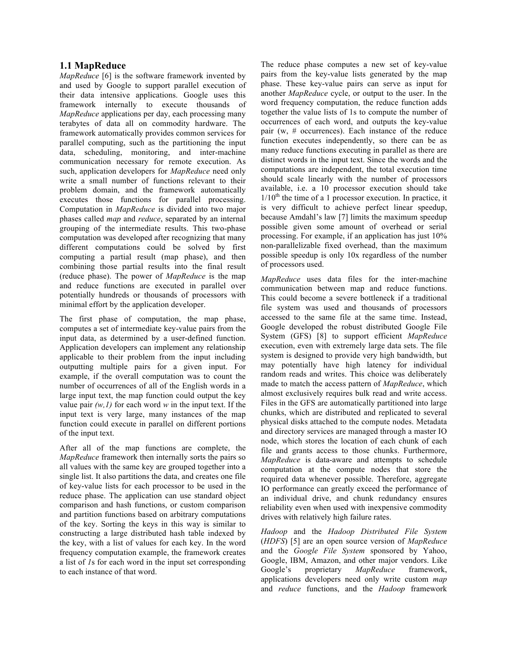### **1.1 MapReduce**

*MapReduce* [6] is the software framework invented by and used by Google to support parallel execution of their data intensive applications. Google uses this framework internally to execute thousands of *MapReduce* applications per day, each processing many terabytes of data all on commodity hardware. The framework automatically provides common services for parallel computing, such as the partitioning the input data, scheduling, monitoring, and inter-machine communication necessary for remote execution. As such, application developers for *MapReduce* need only write a small number of functions relevant to their problem domain, and the framework automatically executes those functions for parallel processing. Computation in *MapReduce* is divided into two major phases called *map* and *reduce*, separated by an internal grouping of the intermediate results. This two-phase computation was developed after recognizing that many different computations could be solved by first computing a partial result (map phase), and then combining those partial results into the final result (reduce phase). The power of *MapReduce* is the map and reduce functions are executed in parallel over potentially hundreds or thousands of processors with minimal effort by the application developer.

The first phase of computation, the map phase, computes a set of intermediate key-value pairs from the input data, as determined by a user-defined function. Application developers can implement any relationship applicable to their problem from the input including outputting multiple pairs for a given input. For example, if the overall computation was to count the number of occurrences of all of the English words in a large input text, the map function could output the key value pair  $(w,1)$  for each word  $w$  in the input text. If the input text is very large, many instances of the map function could execute in parallel on different portions of the input text.

After all of the map functions are complete, the *MapReduce* framework then internally sorts the pairs so all values with the same key are grouped together into a single list. It also partitions the data, and creates one file of key-value lists for each processor to be used in the reduce phase. The application can use standard object comparison and hash functions, or custom comparison and partition functions based on arbitrary computations of the key. Sorting the keys in this way is similar to constructing a large distributed hash table indexed by the key, with a list of values for each key. In the word frequency computation example, the framework creates a list of *1*s for each word in the input set corresponding to each instance of that word.

The reduce phase computes a new set of key-value pairs from the key-value lists generated by the map phase. These key-value pairs can serve as input for another *MapReduce* cycle, or output to the user. In the word frequency computation, the reduce function adds together the value lists of 1s to compute the number of occurrences of each word, and outputs the key-value pair (w, # occurrences). Each instance of the reduce function executes independently, so there can be as many reduce functions executing in parallel as there are distinct words in the input text. Since the words and the computations are independent, the total execution time should scale linearly with the number of processors available, i.e. a 10 processor execution should take  $1/10<sup>th</sup>$  the time of a 1 processor execution. In practice, it is very difficult to achieve perfect linear speedup, because Amdahl's law [7] limits the maximum speedup possible given some amount of overhead or serial processing. For example, if an application has just 10% non-parallelizable fixed overhead, than the maximum possible speedup is only 10x regardless of the number of processors used.

*MapReduce* uses data files for the inter-machine communication between map and reduce functions. This could become a severe bottleneck if a traditional file system was used and thousands of processors accessed to the same file at the same time. Instead, Google developed the robust distributed Google File System (GFS) [8] to support efficient *MapReduce* execution, even with extremely large data sets. The file system is designed to provide very high bandwidth, but may potentially have high latency for individual random reads and writes. This choice was deliberately made to match the access pattern of *MapReduce*, which almost exclusively requires bulk read and write access. Files in the GFS are automatically partitioned into large chunks, which are distributed and replicated to several physical disks attached to the compute nodes. Metadata and directory services are managed through a master IO node, which stores the location of each chunk of each file and grants access to those chunks. Furthermore, *MapReduce* is data-aware and attempts to schedule computation at the compute nodes that store the required data whenever possible. Therefore, aggregate IO performance can greatly exceed the performance of an individual drive, and chunk redundancy ensures reliability even when used with inexpensive commodity drives with relatively high failure rates.

*Hadoop* and the *Hadoop Distributed File System*  (*HDFS*) [5] are an open source version of *MapReduce* and the *Google File System* sponsored by Yahoo, Google, IBM, Amazon, and other major vendors. Like Google's proprietary *MapReduce* framework, applications developers need only write custom *map* and *reduce* functions, and the *Hadoop* framework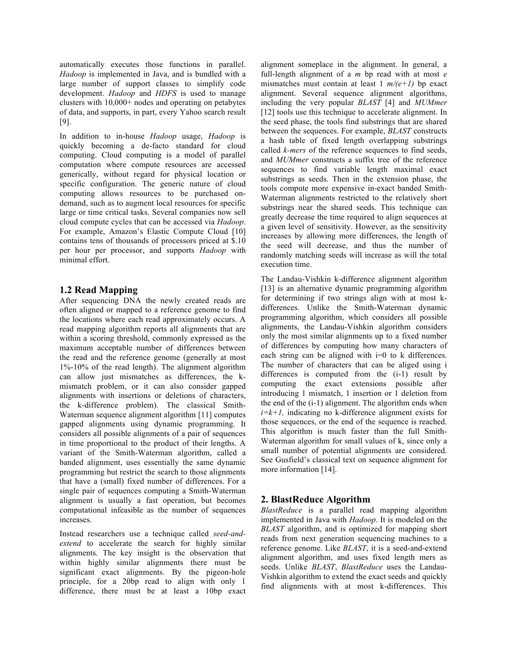automatically executes those functions in parallel. *Hadoop* is implemented in Java, and is bundled with a large number of support classes to simplify code development. *Hadoop* and *HDFS* is used to manage clusters with 10,000+ nodes and operating on petabytes of data, and supports, in part, every Yahoo search result [9].

In addition to in-house *Hadoop* usage, *Hadoop* is quickly becoming a de-facto standard for cloud computing. Cloud computing is a model of parallel computation where compute resources are accessed generically, without regard for physical location or specific configuration. The generic nature of cloud computing allows resources to be purchased ondemand, such as to augment local resources for specific large or time critical tasks. Several companies now sell cloud compute cycles that can be accessed via *Hadoop*. For example, Amazon's Elastic Compute Cloud [10] contains tens of thousands of processors priced at \$.10 per hour per processor, and supports *Hadoop* with minimal effort.

### **1.2 Read Mapping**

After sequencing DNA the newly created reads are often aligned or mapped to a reference genome to find the locations where each read approximately occurs. A read mapping algorithm reports all alignments that are within a scoring threshold, commonly expressed as the maximum acceptable number of differences between the read and the reference genome (generally at most 1%-10% of the read length). The alignment algorithm can allow just mismatches as differences, the kmismatch problem, or it can also consider gapped alignments with insertions or deletions of characters, the k-difference problem). The classical Smith-Waterman sequence alignment algorithm [11] computes gapped alignments using dynamic programming. It considers all possible alignments of a pair of sequences in time proportional to the product of their lengths. A variant of the Smith-Waterman algorithm, called a banded alignment, uses essentially the same dynamic programming but restrict the search to those alignments that have a (small) fixed number of differences. For a single pair of sequences computing a Smith-Waterman alignment is usually a fast operation, but becomes computational infeasible as the number of sequences increases.

Instead researchers use a technique called *seed-andextend* to accelerate the search for highly similar alignments. The key insight is the observation that within highly similar alignments there must be significant exact alignments. By the pigeon-hole principle, for a 20bp read to align with only 1 difference, there must be at least a 10bp exact

alignment someplace in the alignment. In general, a full-length alignment of a *m* bp read with at most *e* mismatches must contain at least 1  $m/(e+1)$  bp exact alignment. Several sequence alignment algorithms, including the very popular *BLAST* [4] and *MUMmer* [12] tools use this technique to accelerate alignment. In the seed phase, the tools find substrings that are shared between the sequences. For example, *BLAST* constructs a hash table of fixed length overlapping substrings called *k-mers* of the reference sequences to find seeds, and *MUMmer* constructs a suffix tree of the reference sequences to find variable length maximal exact substrings as seeds. Then in the extension phase, the tools compute more expensive in-exact banded Smith-Waterman alignments restricted to the relatively short substrings near the shared seeds. This technique can greatly decrease the time required to align sequences at a given level of sensitivity. However, as the sensitivity increases by allowing more differences, the length of the seed will decrease, and thus the number of randomly matching seeds will increase as will the total execution time.

The Landau-Vishkin k-difference alignment algorithm [13] is an alternative dynamic programming algorithm for determining if two strings align with at most kdifferences. Unlike the Smith-Waterman dynamic programming algorithm, which considers all possible alignments, the Landau-Vishkin algorithm considers only the most similar alignments up to a fixed number of differences by computing how many characters of each string can be aligned with  $i=0$  to k differences. The number of characters that can be aliged using i differences is computed from the (i-1) result by computing the exact extensions possible after introducing 1 mismatch, 1 insertion or 1 deletion from the end of the (i-1) alignment. The algorithm ends when  $i=k+1$ , indicating no k-difference alignment exists for those sequences, or the end of the sequence is reached. This algorithm is much faster than the full Smith-Waterman algorithm for small values of k, since only a small number of potential alignments are considered. See Gusfield's classical text on sequence alignment for more information [14].

### **2. BlastReduce Algorithm**

*BlastReduce* is a parallel read mapping algorithm implemented in Java with *Hadoop*. It is modeled on the *BLAST* algorithm, and is optimized for mapping short reads from next generation sequencing machines to a reference genome. Like *BLAST*, it is a seed-and-extend alignment algorithm, and uses fixed length mers as seeds. Unlike *BLAST*, *BlastReduce* uses the Landau-Vishkin algorithm to extend the exact seeds and quickly find alignments with at most k-differences. This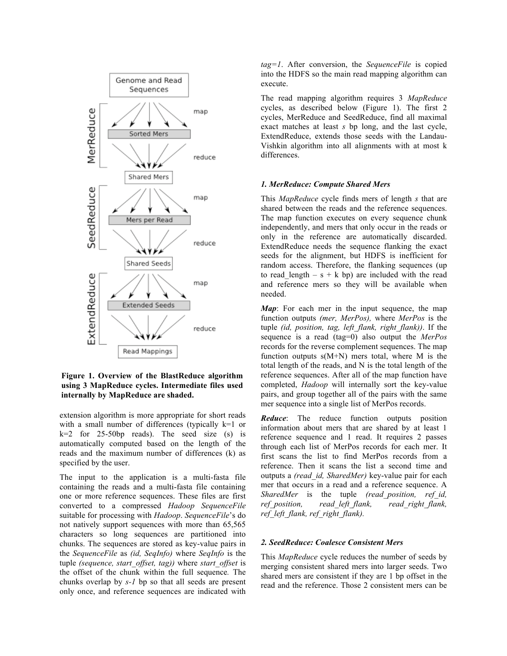

**Figure 1. Overview of the BlastReduce algorithm using 3 MapReduce cycles. Intermediate files used internally by MapReduce are shaded.**

extension algorithm is more appropriate for short reads with a small number of differences (typically k=1 or  $k=2$  for 25-50bp reads). The seed size (s) is automatically computed based on the length of the reads and the maximum number of differences (k) as specified by the user.

The input to the application is a multi-fasta file containing the reads and a multi-fasta file containing one or more reference sequences. These files are first converted to a compressed *Hadoop SequenceFile*  suitable for processing with *Hadoop*. *SequenceFile*'s do not natively support sequences with more than 65,565 characters so long sequences are partitioned into chunks. The sequences are stored as key-value pairs in the *SequenceFile* as *(id, SeqInfo)* where *SeqInfo* is the tuple *(sequence, start\_offset, tag))* where *start\_offset* is the offset of the chunk within the full sequence*.* The chunks overlap by *s-1* bp so that all seeds are present only once, and reference sequences are indicated with

*tag=1*. After conversion, the *SequenceFile* is copied into the HDFS so the main read mapping algorithm can execute.

The read mapping algorithm requires 3 *MapReduce* cycles, as described below (Figure 1). The first 2 cycles, MerReduce and SeedReduce, find all maximal exact matches at least *s* bp long, and the last cycle, ExtendReduce, extends those seeds with the Landau-Vishkin algorithm into all alignments with at most k differences.

#### *1. MerReduce: Compute Shared Mers*

This *MapReduce* cycle finds mers of length *s* that are shared between the reads and the reference sequences. The map function executes on every sequence chunk independently, and mers that only occur in the reads or only in the reference are automatically discarded. ExtendReduce needs the sequence flanking the exact seeds for the alignment, but HDFS is inefficient for random access. Therefore, the flanking sequences (up to read length – s + k bp) are included with the read and reference mers so they will be available when needed.

*Map*: For each mer in the input sequence, the map function outputs *(mer, MerPos),* where *MerPos* is the tuple *(id, position, tag, left\_flank, right\_flank))*. If the sequence is a read (tag=0) also output the *MerPos* records for the reverse complement sequences. The map function outputs  $s(M+N)$  mers total, where M is the total length of the reads, and N is the total length of the reference sequences. After all of the map function have completed, *Hadoop* will internally sort the key-value pairs, and group together all of the pairs with the same mer sequence into a single list of MerPos records.

*Reduce*: The reduce function outputs position information about mers that are shared by at least 1 reference sequence and 1 read. It requires 2 passes through each list of MerPos records for each mer. It first scans the list to find MerPos records from a reference. Then it scans the list a second time and outputs a *(read\_id, SharedMer)* key-value pair for each mer that occurs in a read and a reference sequence. A *SharedMer* is the tuple *(read\_position, ref\_id, ref\_position, read\_left\_flank, read\_right\_flank, ref\_left\_flank, ref\_right\_flank).*

#### *2. SeedReduce: Coalesce Consistent Mers*

This *MapReduce* cycle reduces the number of seeds by merging consistent shared mers into larger seeds. Two shared mers are consistent if they are 1 bp offset in the read and the reference. Those 2 consistent mers can be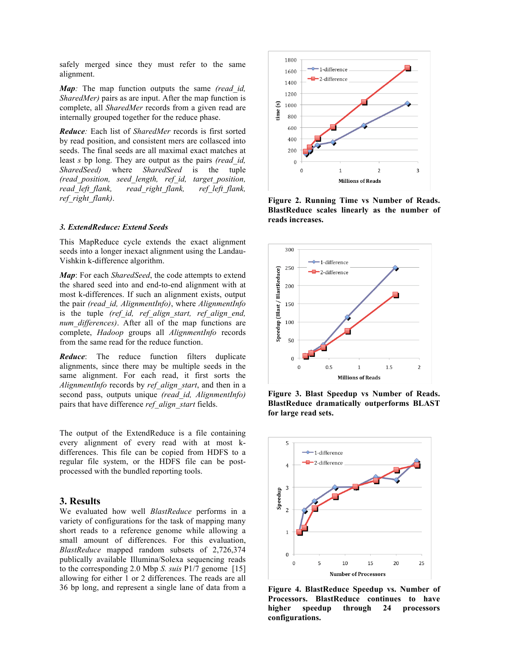safely merged since they must refer to the same alignment.

*Map:* The map function outputs the same *(read\_id, SharedMer*) pairs as are input. After the map function is complete, all *SharedMer* records from a given read are internally grouped together for the reduce phase.

*Reduce:* Each list of *SharedMer* records is first sorted by read position, and consistent mers are collasced into seeds. The final seeds are all maximal exact matches at least *s* bp long. They are output as the pairs *(read\_id, SharedSeed)* where *SharedSeed* is the tuple *(read\_position, seed\_length, ref\_id, target\_position, read\_left\_flank, read\_right\_flank, ref\_left\_flank, ref\_right\_flank)*.

#### *3. ExtendReduce: Extend Seeds*

This MapReduce cycle extends the exact alignment seeds into a longer inexact alignment using the Landau-Vishkin k-difference algorithm.

*Map*: For each *SharedSeed*, the code attempts to extend the shared seed into and end-to-end alignment with at most k-differences. If such an alignment exists, output the pair *(read\_id, AlignmentInfo)*, where *AlignmentInfo* is the tuple *(ref\_id, ref\_align\_start, ref\_align\_end, num\_differences)*. After all of the map functions are complete, *Hadoop* groups all *AlignmentInfo* records from the same read for the reduce function.

*Reduce*: The reduce function filters duplicate alignments, since there may be multiple seeds in the same alignment. For each read, it first sorts the *AlignmentInfo* records by *ref\_align\_start*, and then in a second pass, outputs unique *(read\_id, AlignmentInfo)*  pairs that have difference *ref\_align\_start* fields.

The output of the ExtendReduce is a file containing every alignment of every read with at most kdifferences. This file can be copied from HDFS to a regular file system, or the HDFS file can be postprocessed with the bundled reporting tools.

### **3. Results**

We evaluated how well *BlastReduce* performs in a variety of configurations for the task of mapping many short reads to a reference genome while allowing a small amount of differences. For this evaluation, *BlastReduce* mapped random subsets of 2,726,374 publically available Illumina/Solexa sequencing reads to the corresponding 2.0 Mbp *S. suis* P1/7 genome [15] allowing for either 1 or 2 differences. The reads are all 36 bp long, and represent a single lane of data from a



**Figure 2. Running Time vs Number of Reads. BlastReduce scales linearly as the number of reads increases.**







**Figure 4. BlastReduce Speedup vs. Number of Processors. BlastReduce continues to have higher speedup through 24 processors configurations.**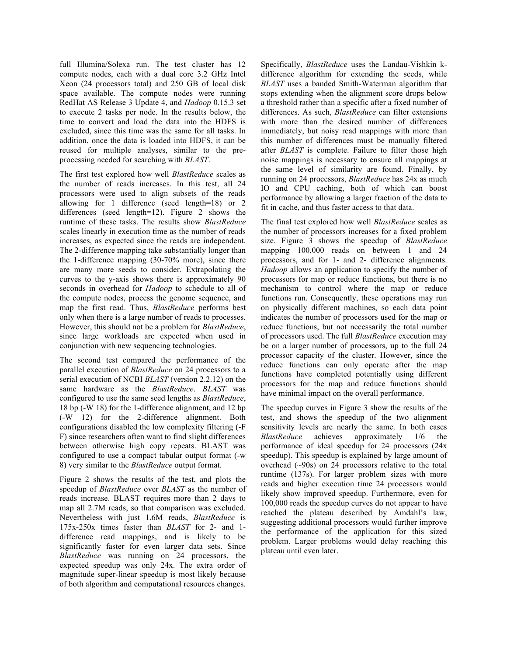full Illumina/Solexa run. The test cluster has 12 compute nodes, each with a dual core 3.2 GHz Intel Xeon (24 processors total) and 250 GB of local disk space available. The compute nodes were running RedHat AS Release 3 Update 4, and *Hadoop* 0.15.3 set to execute 2 tasks per node. In the results below, the time to convert and load the data into the HDFS is excluded, since this time was the same for all tasks. In addition, once the data is loaded into HDFS, it can be reused for multiple analyses, similar to the preprocessing needed for searching with *BLAST*.

The first test explored how well *BlastReduce* scales as the number of reads increases. In this test, all 24 processors were used to align subsets of the reads allowing for 1 difference (seed length=18) or 2 differences (seed length=12). Figure 2 shows the runtime of these tasks. The results show *BlastReduce* scales linearly in execution time as the number of reads increases, as expected since the reads are independent. The 2-difference mapping take substantially longer than the 1-difference mapping (30-70% more), since there are many more seeds to consider. Extrapolating the curves to the y-axis shows there is approximately 90 seconds in overhead for *Hadoop* to schedule to all of the compute nodes, process the genome sequence, and map the first read. Thus, *BlastReduce* performs best only when there is a large number of reads to processes. However, this should not be a problem for *BlastReduce*, since large workloads are expected when used in conjunction with new sequencing technologies.

The second test compared the performance of the parallel execution of *BlastReduce* on 24 processors to a serial execution of NCBI *BLAST* (version 2.2.12) on the same hardware as the *BlastReduce*. *BLAST* was configured to use the same seed lengths as *BlastReduce*, 18 bp (-W 18) for the 1-difference alignment, and 12 bp (-W 12) for the 2-difference alignment. Both configurations disabled the low complexity filtering (-F F) since researchers often want to find slight differences between otherwise high copy repeats. BLAST was configured to use a compact tabular output format (-w 8) very similar to the *BlastReduce* output format.

Figure 2 shows the results of the test, and plots the speedup of *BlastReduce* over *BLAST* as the number of reads increase. BLAST requires more than 2 days to map all 2.7M reads, so that comparison was excluded. Nevertheless with just 1.6M reads, *BlastReduce* is 175x-250x times faster than *BLAST* for 2- and 1 difference read mappings, and is likely to be significantly faster for even larger data sets. Since *BlastReduce* was running on 24 processors, the expected speedup was only 24x. The extra order of magnitude super-linear speedup is most likely because of both algorithm and computational resources changes.

Specifically, *BlastReduce* uses the Landau-Vishkin kdifference algorithm for extending the seeds, while *BLAST* uses a banded Smith-Waterman algorithm that stops extending when the alignment score drops below a threshold rather than a specific after a fixed number of differences. As such, *BlastReduce* can filter extensions with more than the desired number of differences immediately, but noisy read mappings with more than this number of differences must be manually filtered after *BLAST* is complete. Failure to filter those high noise mappings is necessary to ensure all mappings at the same level of similarity are found. Finally, by running on 24 processors, *BlastReduce* has 24x as much IO and CPU caching, both of which can boost performance by allowing a larger fraction of the data to fit in cache, and thus faster access to that data.

The final test explored how well *BlastReduce* scales as the number of processors increases for a fixed problem size. Figure 3 shows the speedup of *BlastReduce* mapping 100,000 reads on between 1 and 24 processors, and for 1- and 2- difference alignments. *Hadoop* allows an application to specify the number of processors for map or reduce functions, but there is no mechanism to control where the map or reduce functions run. Consequently, these operations may run on physically different machines, so each data point indicates the number of processors used for the map or reduce functions, but not necessarily the total number of processors used. The full *BlastReduce* execution may be on a larger number of processors, up to the full 24 processor capacity of the cluster. However, since the reduce functions can only operate after the map functions have completed potentially using different processors for the map and reduce functions should have minimal impact on the overall performance.

The speedup curves in Figure 3 show the results of the test, and shows the speedup of the two alignment sensitivity levels are nearly the same. In both cases *BlastReduce* achieves approximately 1/6 the performance of ideal speedup for 24 processors (24x speedup). This speedup is explained by large amount of overhead (~90s) on 24 processors relative to the total runtime (137s). For larger problem sizes with more reads and higher execution time 24 processors would likely show improved speedup. Furthermore, even for 100,000 reads the speedup curves do not appear to have reached the plateau described by Amdahl's law, suggesting additional processors would further improve the performance of the application for this sized problem. Larger problems would delay reaching this plateau until even later.